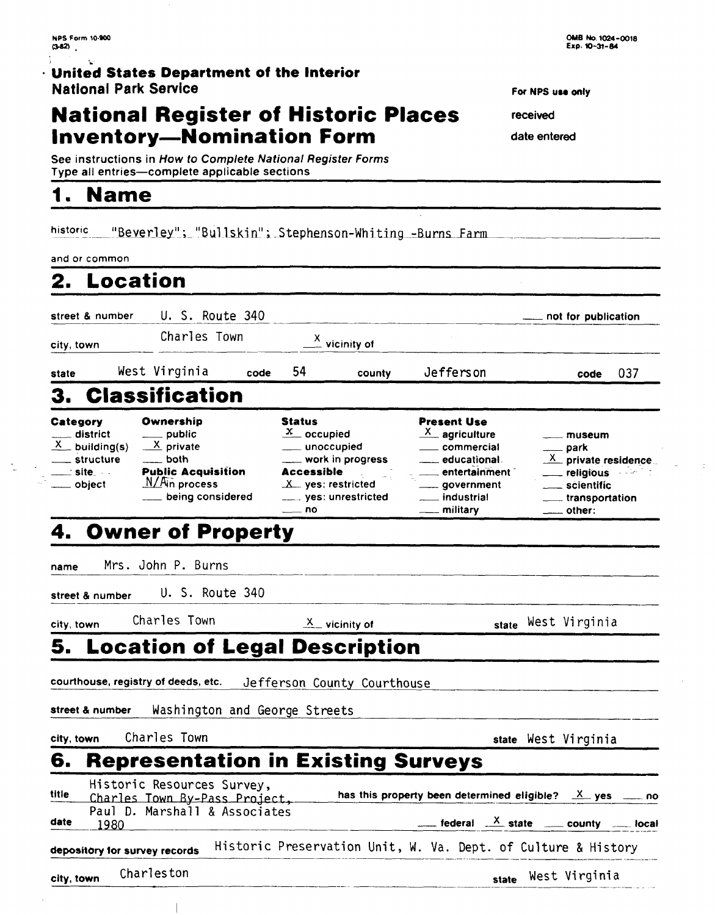#### $\frac{1}{4}$  $\mathcal{A}_{\mathbf{k}}$ · United States Department of the Interior **National Park Service**

# **National Register of Historic Places Inventory-Nomination Form**

See instructions in How to Complete National Register Forms Type all entries-complete applicable sections

 $\overline{\phantom{a}}$ 

#### $\mathbf{1}$ **Name**

historic "Beverley"; "Bullskin"; Stephenson-Whiting -Burns Farm

 $\frac{1}{2}$ 

| and or common                                                                                       |                                                                                                               |                                                                                                                                                           |                           |                                                                                                                                                           |                                                                                                                                                          |
|-----------------------------------------------------------------------------------------------------|---------------------------------------------------------------------------------------------------------------|-----------------------------------------------------------------------------------------------------------------------------------------------------------|---------------------------|-----------------------------------------------------------------------------------------------------------------------------------------------------------|----------------------------------------------------------------------------------------------------------------------------------------------------------|
| <b>Location</b><br>2.                                                                               |                                                                                                               |                                                                                                                                                           |                           |                                                                                                                                                           |                                                                                                                                                          |
| street & number                                                                                     | U. S. Route 340                                                                                               |                                                                                                                                                           |                           |                                                                                                                                                           | not for publication                                                                                                                                      |
| city, town                                                                                          | Charles Town                                                                                                  |                                                                                                                                                           | $\frac{X}{Y}$ vicinity of |                                                                                                                                                           |                                                                                                                                                          |
| state                                                                                               | West Virginia                                                                                                 | 54<br>code                                                                                                                                                | county                    | Jefferson                                                                                                                                                 | 037<br>code                                                                                                                                              |
| З.                                                                                                  | <b>Classification</b>                                                                                         |                                                                                                                                                           |                           |                                                                                                                                                           |                                                                                                                                                          |
| Category<br>$\_$ district<br>$X$ building(s)<br>____ structure<br>__ site __<br><u>_</u> ___ object | Ownership<br>public<br>X private<br>both<br><b>Public Acquisition</b><br>$M/A$ in process<br>being considered | Status<br>$\frac{\mathbf{x}}{x}$ occupied<br>__ unoccupied<br>___ work in progress<br>Accessible<br>$X$ yes: restricted<br>___ yes: unrestricted<br>—— no |                           | Present Use<br><u>X</u> agriculture<br><sub>___</sub> __ commercial<br>educational<br>entertainment<br><sub>____</sub> government<br><u>_</u> __ military | museum<br>—— park<br>$\frac{X}{X}$ private residence<br>religious<br>u Isr<br>scientific<br>transportation<br>other:                                     |
|                                                                                                     | 4. Owner of Property                                                                                          |                                                                                                                                                           |                           |                                                                                                                                                           |                                                                                                                                                          |
| name                                                                                                | Mrs. John P. Burns                                                                                            |                                                                                                                                                           |                           |                                                                                                                                                           |                                                                                                                                                          |
| street & number                                                                                     | U. S. Route 340                                                                                               |                                                                                                                                                           |                           |                                                                                                                                                           |                                                                                                                                                          |
| city, town                                                                                          | Charles Town                                                                                                  |                                                                                                                                                           | $X$ vicinity of           |                                                                                                                                                           | state West Virginia                                                                                                                                      |
| 5.                                                                                                  | <b>Location of Legal Description</b>                                                                          |                                                                                                                                                           |                           |                                                                                                                                                           |                                                                                                                                                          |
|                                                                                                     | courthouse, registry of deeds, etc.                                                                           | Jefferson County Courthouse                                                                                                                               |                           |                                                                                                                                                           |                                                                                                                                                          |
| street & number                                                                                     |                                                                                                               | Washington and George Streets                                                                                                                             |                           |                                                                                                                                                           |                                                                                                                                                          |
| city, town                                                                                          | Charles Town                                                                                                  |                                                                                                                                                           |                           |                                                                                                                                                           | state West Virginia                                                                                                                                      |
| 6.                                                                                                  | <b>Representation in Existing Surveys</b>                                                                     |                                                                                                                                                           |                           |                                                                                                                                                           |                                                                                                                                                          |
| title<br>date<br>1980                                                                               | Historic Resources Survey,<br>Charles Town By-Pass Project,<br>Paul D. Marshall & Associates                  |                                                                                                                                                           |                           |                                                                                                                                                           | has this property been determined eligible? $X$ yes $X$ no<br>$\frac{x}{1-x}$ federal $\frac{x}{1-x}$ state $\frac{x}{1-x}$ county $\frac{y}{1-x}$ local |
| depository for survey records                                                                       |                                                                                                               |                                                                                                                                                           |                           |                                                                                                                                                           | Historic Preservation Unit, W. Va. Dept. of Culture & History                                                                                            |
| city, town                                                                                          | Charleston                                                                                                    |                                                                                                                                                           |                           | state                                                                                                                                                     | West Virginia                                                                                                                                            |

For NPS use only

received

date entered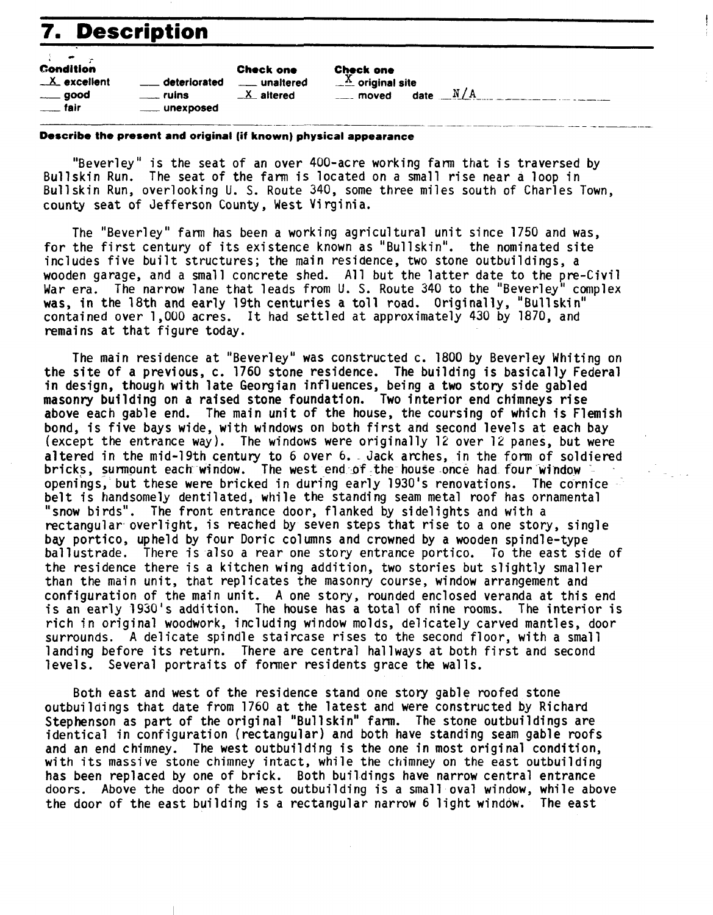# **7. Description** -

|                                                                                      | <b>7. Description</b>                                            |                                              |                                                                                  |     |
|--------------------------------------------------------------------------------------|------------------------------------------------------------------|----------------------------------------------|----------------------------------------------------------------------------------|-----|
| <b>Condition</b><br>$X$ excellent<br>$\rule{1em}{0.15mm}$ good<br>$\frac{1}{2}$ fair | deteriorated<br>$\equiv$ ruins<br>_____ unexposed                | <b>Check one</b><br>unaltered<br>$X$ altered | <b>Check one</b><br>$\underline{X}$ original site<br>$\frac{1}{2}$ moved<br>date | N/A |
|                                                                                      | Describe the present and original (if known) physical appearance |                                              |                                                                                  |     |

### **Describe the present and original (if known) physical appearance**

"Beverley" is the seat of an over 400-acre working farm that is traversed by Bullskin Run. The seat of the farm is located on a small rise near a loop in Bullskin Run, overlooking U. S. Route 340, some three miles south of Charles Town, county seat of Jefferson County, West Virginia.

The "Beverley" farm has been a working agricultural unit since 1750 and was, for the first century of its existence known as "Bullskin". the nominated site includes five built structures; the main residence, two stone outbuildings, a wooden garage, and a small concrete shed. All but the latter date to the pre-Civil War era. The narrow lane that leads from U. S. Route 340 to the "Beverley" complex was, in the 18th and early 19th centuries a toll road. Originally, "Bullskin" contained over 1,000 acres. It had settled at approximately 430 by 1870, and remains at that figure today.

The main residence at "Beverley" was constructed c. 1800 by Beverley Whiting on the site of a previous, c. 1760 stone residence. The building is basically Federal in design, though with late Georgian influences, being a two story side gabled masonry building on a raised stone foundation. Two interior end chimneys rise above each gable end. The main unit of the house, the coursing of which is Flemish bond, is five bays wide, with windows on both first and second levels at each bay (except the entrance way). The windows were originally 12 over 12 panes, but were altered in the mid-19th century to 6 over 6. - Jack arches, in the form of soldiered bricks, surmount each window. The west end of the house once had four window openings, but these were bricked in during early 1930's renovations. The cornice belt is handsomely dentilated, while the standing seam metal roof has ornamental "snow birds". The front entrance door, flanked by sidelights and with a rectangular overlight, is reached by seven steps that rise to a one story, single bay portico, upheld by four Doric columns and crowned by a wooden spindle-type ballustrade. There is also a rear one story entrance portico. To the east side of the residence there is a kitchen wing addition, two stories but slightly smaller than the main unit, that replicates the masonry course, window arrangement and configuration of the main unit. A one story, rounded enclosed veranda at this end is an early 1930's addition. The house has a total of nine rooms. The interior is rich in original woodwork, including window molds, de1 icately carved mantles, door surrounds. A delicate spindle staircase rises to the second floor, with a small landing before its return. There are central ha1 lways at both first and second levels. Several portraits of former residents grace the walls.

Both east and west of the residence stand one story gable roofed stone outbuildings that date from 1760 at the latest and were constructed by Richard Stephenson as part of the original "Bull skin" farm. The stone outbuildings are identical in configuration (rectangular) and both have standing seam gable roofs and an end chimney. The west outbuilding is the one in most original condition, with its massive stone chimney intact, while the chimney on the east outbuilding has been replaced by one of brick. Both buildings have narrow central entrance doors. Above the door of the west outbuilding is a small oval window, while above the door of the east building is a rectangular narrow 6 light window. The east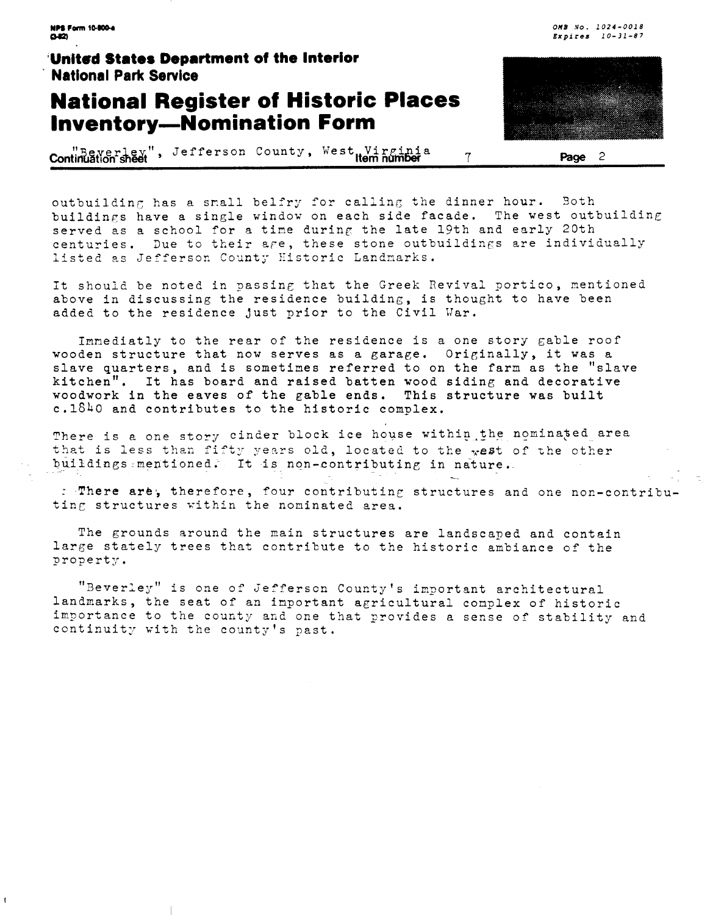**NPS Form 10-900-a**  $0 - 12$ 

### United States Department of the Interior **National Park Service**

### **National Register of Historic Places Inventory-Nomination Form**

**Continuation sheet** , Jefferson County, West Virginia 7 **Page** 2

outbuilding has a small belfry for calling the dinner hour. Both buildings have a single window on each side facade. The west outbuilding served as a school for a time during the late 19th and early 20th centuries. Due to their age, these stone outbuildings are individually listed as Jefferson County Historic Landmarks.

It should be noted in passing that the Greek Revival portico, mentioned above in discussing the residence building, is thought to have been added to the residence just prior to the Civil War.

Imnediatly to the rear of the residence is a one story gable roof wooden structure that now serves as a garage. Originally, it was a slave quarters, and is sometines referred to on the farn as the "slave kitchen". It has board and raised batten wood siding and decorative woodwork in the eaves of the **gable** ends. This structure was built c.1840 and contributes to the historic complex.

There is a one story cinder block ice house within the nominated area that is less than fifty years old, located to the west of the other buildings mentioned. It is non-contributing in nature. n<br>--

: There are, therefore, four contributing structures and one non-contributing structures within the nominated area.

The grounds around the main structures are landscaped and contain large stately trees that contribute to the historic ambiance of the property.

"Beverley" is one of Jefferson County's important architectural landnarks, the seat of an inportant agricultural conplex of historic importance to the county and one that provides a sense of stability and continuity with the county's past.



**OUB No. 1024-0018 Expires 10-31-87**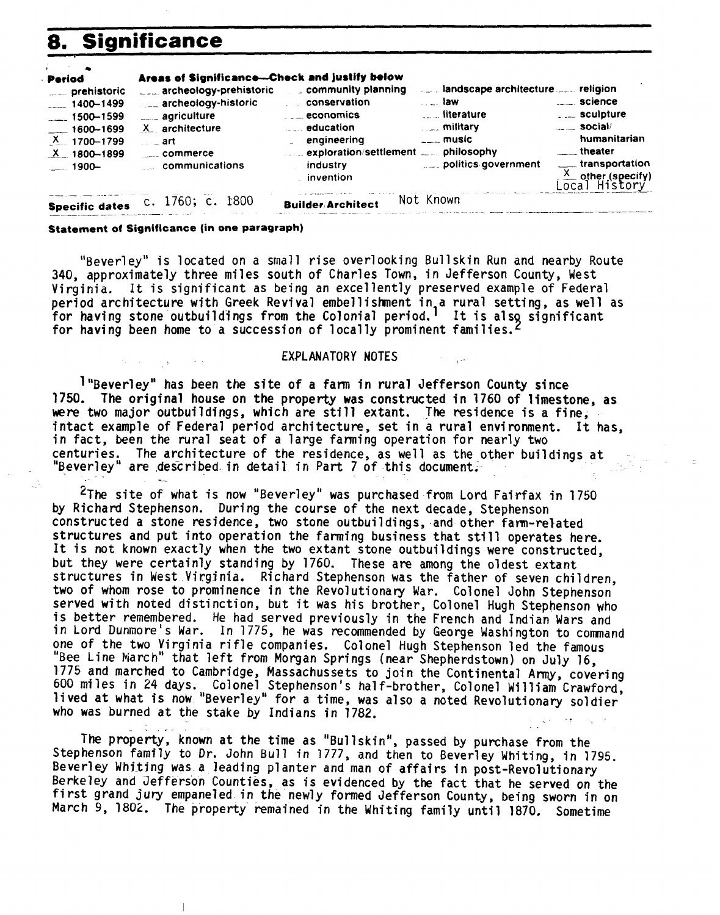#### 8. **Significance**

| Period<br>prehistoric<br>$-1400 - 1499$<br>$-1500 - 1599$<br>$-1600 - 1699$<br>$X = 1700 - 1799$<br>$X = 1800 - 1899$<br>$1900-$ | Areas of Significance--- Check and justify below<br><b>Archeology-prehistoric</b><br>archeology-historic<br>___ agriculture<br>X architecture<br>∴ ⊥art<br>$\frac{1}{2}$ commerce<br>communications | $\Box$ community planning<br>conservation<br>$\ldots$ economics<br><b>Example de cation</b><br>engineering<br>commexploration/settlement commissionly<br>industry<br>. invention | …… law∶   | landscape architecture religion<br><b>Election</b> literature<br><b>Example 1</b> military<br>$---$ music<br>politics government | science<br><b>Example 10</b> Sculpture<br>$\frac{1}{2}$ social/<br>humanitarian<br><u>equal</u> theater<br>___ transportation<br>$\frac{X}{\text{Loca1}}$ other (specify) |
|----------------------------------------------------------------------------------------------------------------------------------|-----------------------------------------------------------------------------------------------------------------------------------------------------------------------------------------------------|----------------------------------------------------------------------------------------------------------------------------------------------------------------------------------|-----------|----------------------------------------------------------------------------------------------------------------------------------|---------------------------------------------------------------------------------------------------------------------------------------------------------------------------|
| <b>Specific dates</b>                                                                                                            | c. 1760; c. 1800                                                                                                                                                                                    | <b>Builder/Architect</b>                                                                                                                                                         | Not Known |                                                                                                                                  |                                                                                                                                                                           |

#### **Statement of Significance (in one paragraph)**

"Beverley" is located on a small rise overlooking Bullskin Run and nearby Route 340, approximately three miles south of Charles Town, in Jefferson County, West Virginia. It is significant as being an excellently preserved example of Federal period architecture with Greek Revival embellishment in a rural setting, as well as for having stone outbuildings from the Colonial period.<sup>1</sup> It is also significant for having been home to a succession of locally prominent families.<sup>2</sup>

#### EXPLANATORY NOTES

1 "Beverley" has been the site of a farm in rural Jefferson County since 1750. The original house on the property was constructed in 1760 of limestone, as were two major outbuildings, which are still extant. The residence is a fine, intact example of Federal period architecture, set in a rural environment. It has, in fact, been the rural seat of a large farming operation for nearly two centuries. The architecture of the residence, as well as the other buildings at "Beverley" are described in detail in Part 7 of this document.

**2~he** site of what is now "Beverley" was purchased from Lord Fairfax in 1750 by Richard Stephenson. During the course of the next decade, Stephenson constructed a stone residence, two stone outbuildings, and other fam-related structures and put into operation the farming business that still operates here. It is not known exactly when the two extant stone outbuildings were constructed, but they were certainly standing by 1760. These are among the oldest extant structures in West Virginia. Richard Stephenson was the father of seven children,<br>two of whom rose to prominence in the Revolutionary War. Colonel John Stephenson served with noted distinction, but it was his brother, Colonel Hugh Stephenson who is better remembered. He had served previously in the French and Indian Wars and in Lord Dunnore's War. In 1775, he was recommended by George Washington to comand one of the two Virginia rifle companies. Colonel hugh Stephenson led the famous "Bee Line March" that left from Morgan Springs (near Shepherdstown) on July 16, 1775 and marched to Cambridge, Massachussets to join the Continental **Army,** covering lived at what is now "Beverley" for a time, was also a noted Revolutionary soldier who was burned at the stake by Indians in 1782.

The property, known at the time as "Bullskin", passed by purchase from the Stephenson family to Dr. John Bull in 1777, and then to Beverley Whiting, in 1795. Beverley Whiting was a leading planter and man of affairs in post-Revolutionary Berkeley and Jefferson Counties, as is evidenced by the fact that he served on the first grand jury empaneled in the newly formed Jefferson County, being sworn in on March 9, 1802. The property remained in the Whiting family until 1870, Sometime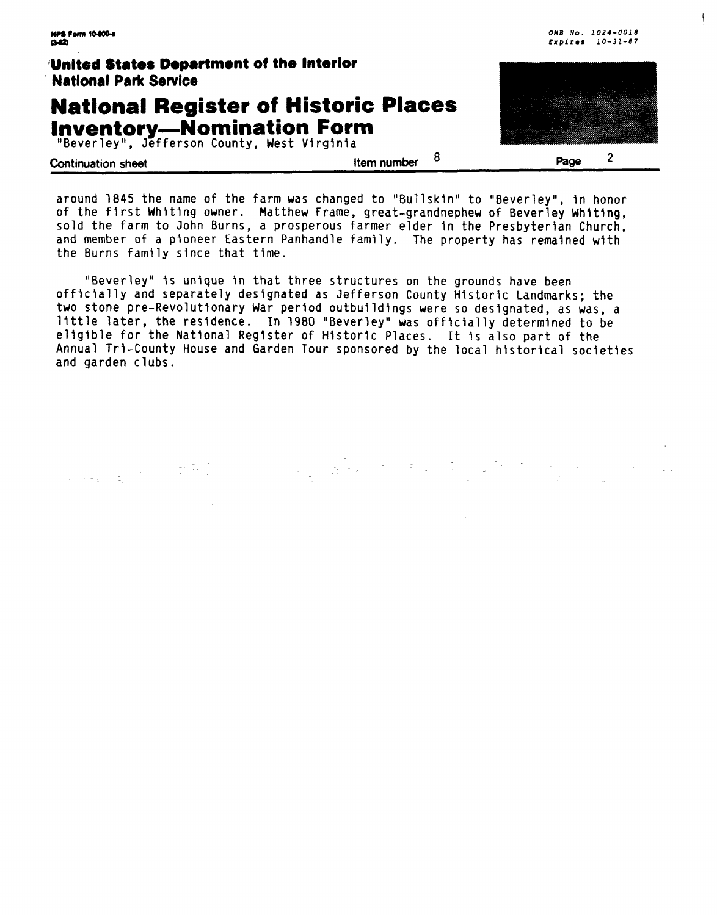**OMB No. 1021-0018 NPS Form 10-900-4 Expires 10-31-87 IJnlted States Department of the Interior Natlonal Park Sewice National Register of Historic Places Inventory-Nomination Form** 

"Beverley", Jefferson County, West Virginia

 $\overline{\phantom{a}}$ 

**Continuation sheet Item number** <sup>8</sup>

 $\overline{2}$ Page

Ŧ

around 1845 the name of the farm was changed to "Bullskfn" to "Beverley", in honor of the first Whiting owner. Matthew Frame, great-grandnephew of Beverley Whiting, sold the farm to John Burns, a prosperous farmer elder in the Presbyterian Church, and member of a pioneer Eastern Panhandle family. The property has remained with the Burns family since that time.

"Beverley" is unfque in that three structures on the grounds have been officially and separately designated as Jefferson County Historic Landmarks; the two stone pre-Revolutionary War period outbuildings were so designated, as was, a little later, the residence. In 1980 "Beverley" was officially determined to be eligible for the National Register of Historic Places. It Is also part of the Annual Tri-County House and Garden Tour sponsored by the local historical societies and garden clubs.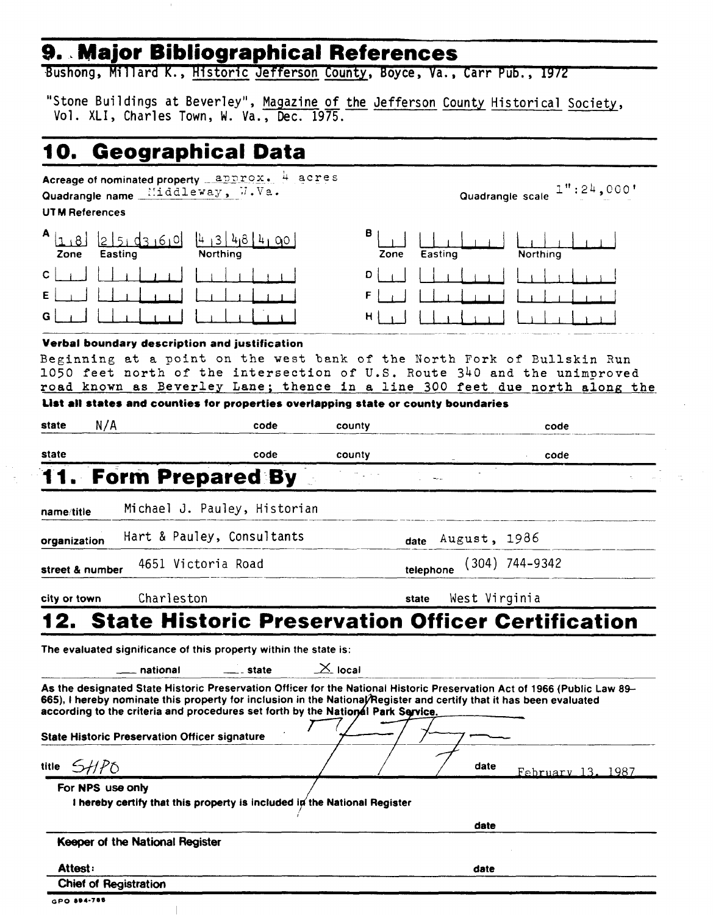# **9. Major Bibliographical References**

Bushong, Mi 11 ard K. , Historic Jefferson County, Boyce, **Va.** , Carr Pub. , **19/Z** 

Bushong, Millard K., <u>Historic Jefferson County</u>, Boyce, Va., Carr Pub., 1972<br>"Stone Buildings at Beverley", <u>Magazine of the Jefferson County Historical Society</u>,<br>Vol. XLI, Charles Town, W. Va., Dec. 1975.

# **10. Geographical Data**

### UT **M** References

| Acreage of nominated property _ approx. 4 acres<br>Quadrangle name $\frac{111}{111}$ ddleway, $M \cdot N$ a.<br><b>UTM References</b> | Quadrangle scale $1''$ : 24,000 $'$     |
|---------------------------------------------------------------------------------------------------------------------------------------|-----------------------------------------|
| $\mathbf{1}_{\text{LIBI}}$<br>$[4 + 3 + 48 + 4 + 90]$<br>03101<br>Zone<br>Easting<br>Northing                                         | в<br>Easting<br><b>Northing</b><br>Zone |
| C I                                                                                                                                   | D                                       |
| EI                                                                                                                                    |                                         |
| GI                                                                                                                                    | НΙ                                      |

### **Verbal boundary description and justification**

Beginning at a point on the west bank of the North Fork of Bullskin Run **1050 feet north** of **the intersection of U.S. Route 340 and** the **unimgroved**  road **known as** Beverley Lane; thence **in** a line **300** feet due north along the

| state                          | N/A                                                                                          | code      | county       |       | code                                                                                                                                                                                                                                            |
|--------------------------------|----------------------------------------------------------------------------------------------|-----------|--------------|-------|-------------------------------------------------------------------------------------------------------------------------------------------------------------------------------------------------------------------------------------------------|
| state                          |                                                                                              | code      | county       |       | code                                                                                                                                                                                                                                            |
|                                | 11. Form Prepared By                                                                         |           |              |       |                                                                                                                                                                                                                                                 |
| name/title                     | Michael J. Pauley, Historian                                                                 |           |              |       |                                                                                                                                                                                                                                                 |
| organization                   | Hart & Pauley, Consultants                                                                   |           |              | date  | August, 1986                                                                                                                                                                                                                                    |
| street & number                | 4651 Victoria Road                                                                           |           |              |       | telephone (304) 744-9342                                                                                                                                                                                                                        |
| city or town                   | Charleston                                                                                   |           |              | state | West Virginia                                                                                                                                                                                                                                   |
|                                |                                                                                              |           |              |       | <b>12. State Historic Preservation Officer Certification</b>                                                                                                                                                                                    |
|                                | The evaluated significance of this property within the state is:                             |           |              |       |                                                                                                                                                                                                                                                 |
|                                | national<br>according to the criteria and procedures set forth by the National Park Service. | ___ state | $\geq$ local |       | As the designated State Historic Preservation Officer for the National Historic Preservation Act of 1966 (Public Law 89-<br>665), I hereby nominate this property for inclusion in the National/Register and certify that it has been evaluated |
|                                | <b>State Historic Preservation Officer signature</b>                                         |           |              |       | date                                                                                                                                                                                                                                            |
| For NPS use only               | I hereby certify that this property is included in the National Register                     |           |              |       | February 13, 1987                                                                                                                                                                                                                               |
|                                |                                                                                              |           |              |       | date                                                                                                                                                                                                                                            |
|                                | Keeper of the National Register                                                              |           |              |       |                                                                                                                                                                                                                                                 |
| title $SHPO$<br><b>Attest:</b> |                                                                                              |           |              |       | date                                                                                                                                                                                                                                            |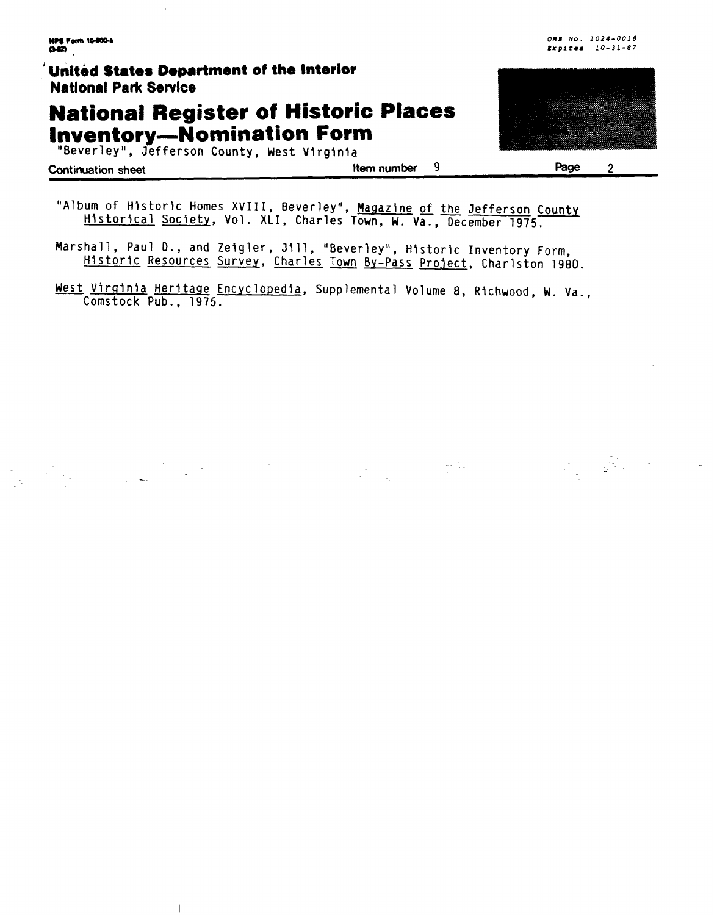$\bar{1}$ 

# **National Register of Historic Places Inventory-Nomination Form**

"Beverley", Jefferson County, West Virginia

| <b>Continuation sheet</b> |
|---------------------------|
|---------------------------|

 $\mathbf{9}$ Item number





Page  $\overline{2}$ 

"Album of Historic Homes XVIII, Beverley", Magazine of the Jefferson County Historical Society, Vol. XLI, Charles Town, W. Va., December 1975.

Marshall, Paul D., and Zeigler, Jill, "Beverley", Historic Inventory Form, Historic Resources Survey, Charles Town By-Pass Project, Charlston 1980.

West Virginia Heritage Encyclopedia, Supplemental Volume 8, Richwood, W. Va., Comstock Pub., 1975.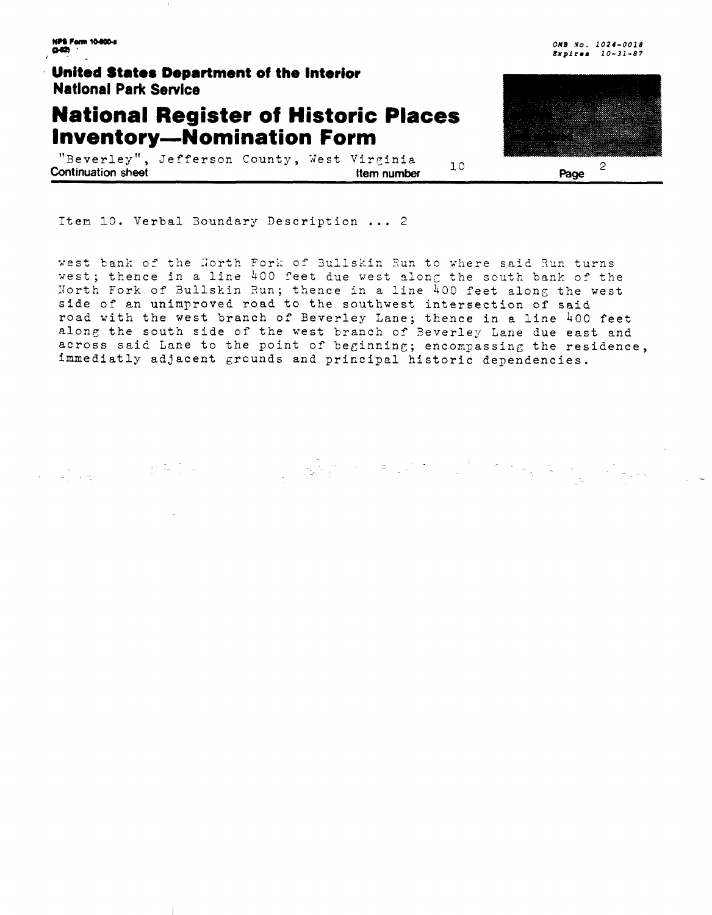**NPS Form 10-800-4** a ta

an Salam Kabupatèn Sulawa<br>Kabupatèn Kabupatèn Sulawa

United States Department of the Interior **National Park Service** 

そもりに

### **National Register of Historic Places Inventory-Nomination Form**

"Beverley", Jefferson County, West Virginia  $10$ **Continuation sheet** Item number

Item 10. Verbal Boundary Description ... 2

west bank of the North Fork of Bullskin Run to where said Run turns west; thence in a line 400 feet due west along the south bank of the North Fork of Bullskin Run; thence in a line 400 feet along the west side of an unimproved road to the southwest intersection of said road with the west branch of Beverley Lane; thence in a line 400 feet along the south side of the west branch of Beverley Lane due east and across said Lane to the point of beginning; encompassing the residence, immediatly adjacent grounds and principal historic dependencies.



OMB No. 1024-0018 Expires 10-31-87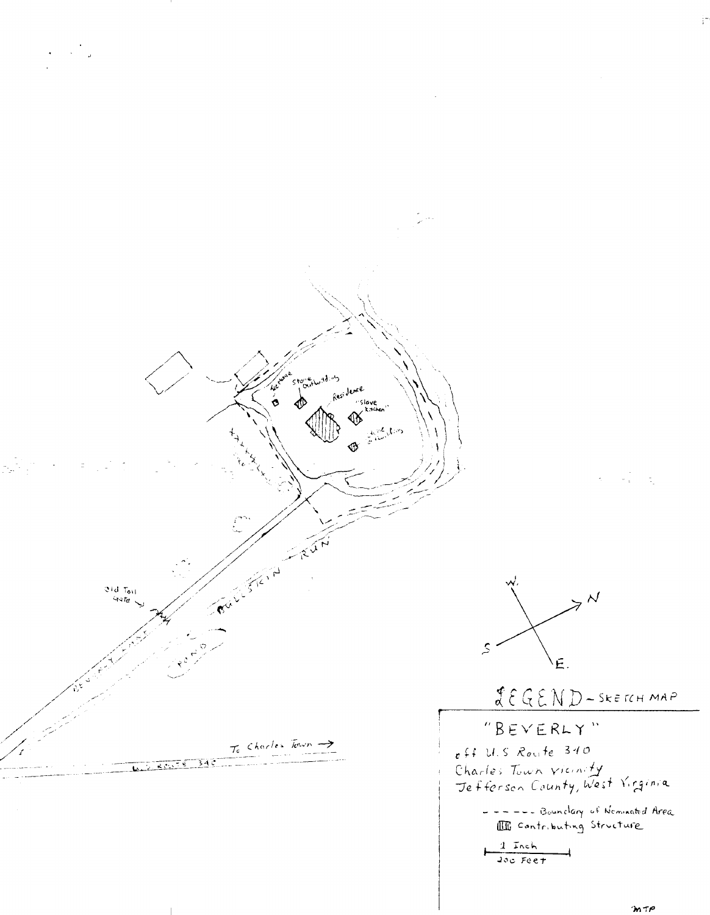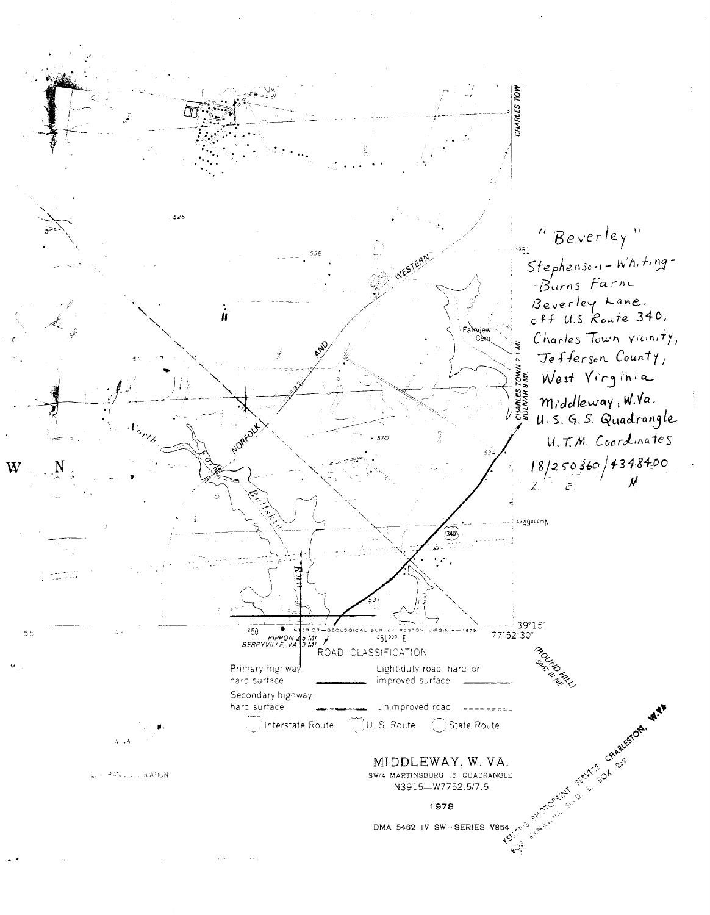